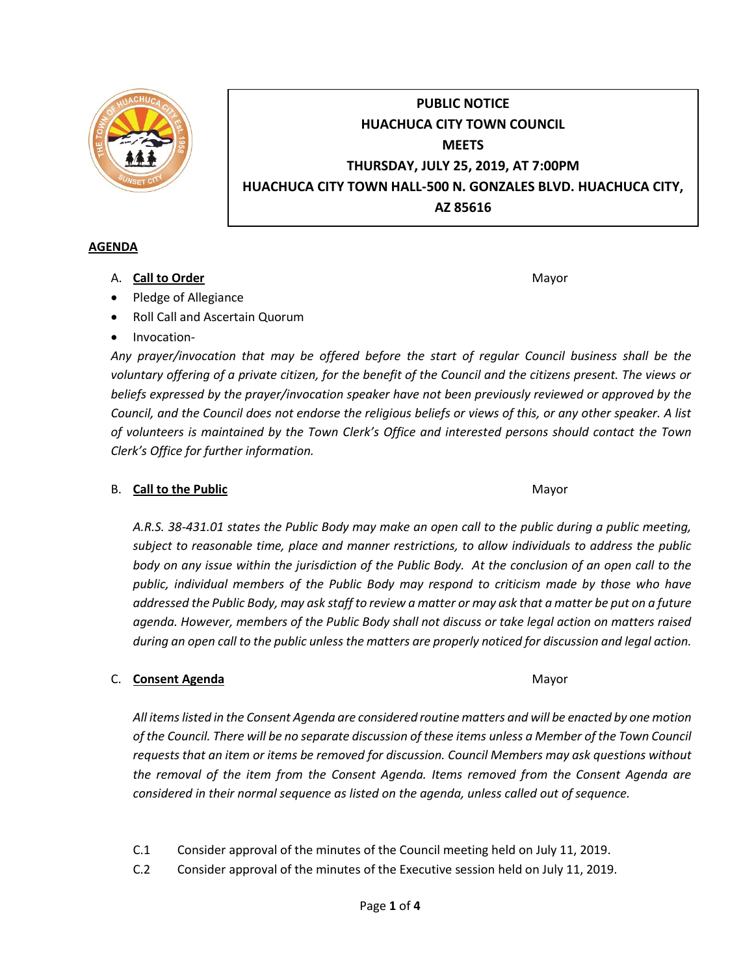

# **PUBLIC NOTICE HUACHUCA CITY TOWN COUNCIL MEETS THURSDAY, JULY 25, 2019, AT 7:00PM HUACHUCA CITY TOWN HALL-500 N. GONZALES BLVD. HUACHUCA CITY, AZ 85616**

### **AGENDA**

### A. **Call to Order** Mayor

- Pledge of Allegiance
- Roll Call and Ascertain Quorum
- Invocation-

*Any prayer/invocation that may be offered before the start of regular Council business shall be the voluntary offering of a private citizen, for the benefit of the Council and the citizens present. The views or beliefs expressed by the prayer/invocation speaker have not been previously reviewed or approved by the Council, and the Council does not endorse the religious beliefs or views of this, or any other speaker. A list of volunteers is maintained by the Town Clerk's Office and interested persons should contact the Town Clerk's Office for further information.*

### B. **Call to the Public** Mayor **Mayor** Mayor

*A.R.S. 38-431.01 states the Public Body may make an open call to the public during a public meeting, subject to reasonable time, place and manner restrictions, to allow individuals to address the public body on any issue within the jurisdiction of the Public Body. At the conclusion of an open call to the public, individual members of the Public Body may respond to criticism made by those who have addressed the Public Body, may ask staff to review a matter or may ask that a matter be put on a future agenda. However, members of the Public Body shall not discuss or take legal action on matters raised during an open call to the public unless the matters are properly noticed for discussion and legal action.*

## C. **Consent Agenda** Mayor

*All items listed in the Consent Agenda are considered routine matters and will be enacted by one motion of the Council. There will be no separate discussion of these items unless a Member of the Town Council requests that an item or items be removed for discussion. Council Members may ask questions without the removal of the item from the Consent Agenda. Items removed from the Consent Agenda are considered in their normal sequence as listed on the agenda, unless called out of sequence.*

- C.1 Consider approval of the minutes of the Council meeting held on July 11, 2019.
- C.2 Consider approval of the minutes of the Executive session held on July 11, 2019.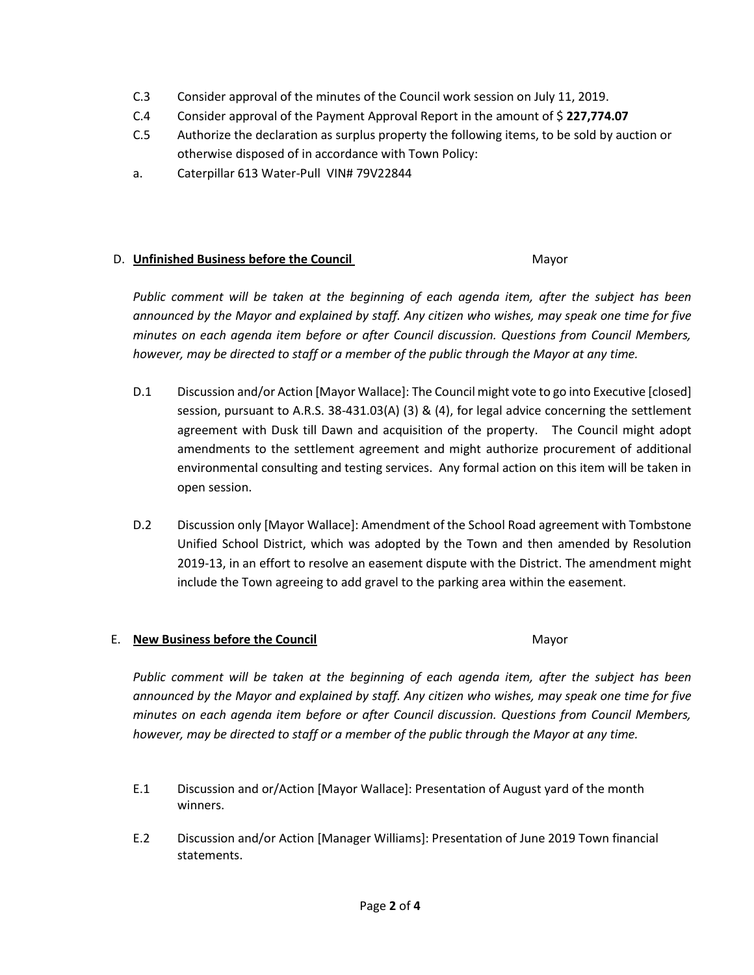- C.3 Consider approval of the minutes of the Council work session on July 11, 2019.
- C.4 Consider approval of the Payment Approval Report in the amount of \$ **227,774.07**
- C.5 Authorize the declaration as surplus property the following items, to be sold by auction or otherwise disposed of in accordance with Town Policy:
- a. Caterpillar 613 Water-Pull VIN# 79V22844

#### D. **Unfinished Business before the Council** Mayor

*Public comment will be taken at the beginning of each agenda item, after the subject has been announced by the Mayor and explained by staff. Any citizen who wishes, may speak one time for five minutes on each agenda item before or after Council discussion. Questions from Council Members, however, may be directed to staff or a member of the public through the Mayor at any time.*

- D.1 Discussion and/or Action [Mayor Wallace]: The Council might vote to go into Executive [closed] session, pursuant to A.R.S. 38-431.03(A) (3) & (4), for legal advice concerning the settlement agreement with Dusk till Dawn and acquisition of the property. The Council might adopt amendments to the settlement agreement and might authorize procurement of additional environmental consulting and testing services. Any formal action on this item will be taken in open session.
- D.2 Discussion only [Mayor Wallace]: Amendment of the School Road agreement with Tombstone Unified School District, which was adopted by the Town and then amended by Resolution 2019-13, in an effort to resolve an easement dispute with the District. The amendment might include the Town agreeing to add gravel to the parking area within the easement.

### E. **New Business before the Council** Mayor

*Public comment will be taken at the beginning of each agenda item, after the subject has been announced by the Mayor and explained by staff. Any citizen who wishes, may speak one time for five minutes on each agenda item before or after Council discussion. Questions from Council Members, however, may be directed to staff or a member of the public through the Mayor at any time.*

- E.1 Discussion and or/Action [Mayor Wallace]: Presentation of August yard of the month winners.
- E.2 Discussion and/or Action [Manager Williams]: Presentation of June 2019 Town financial statements.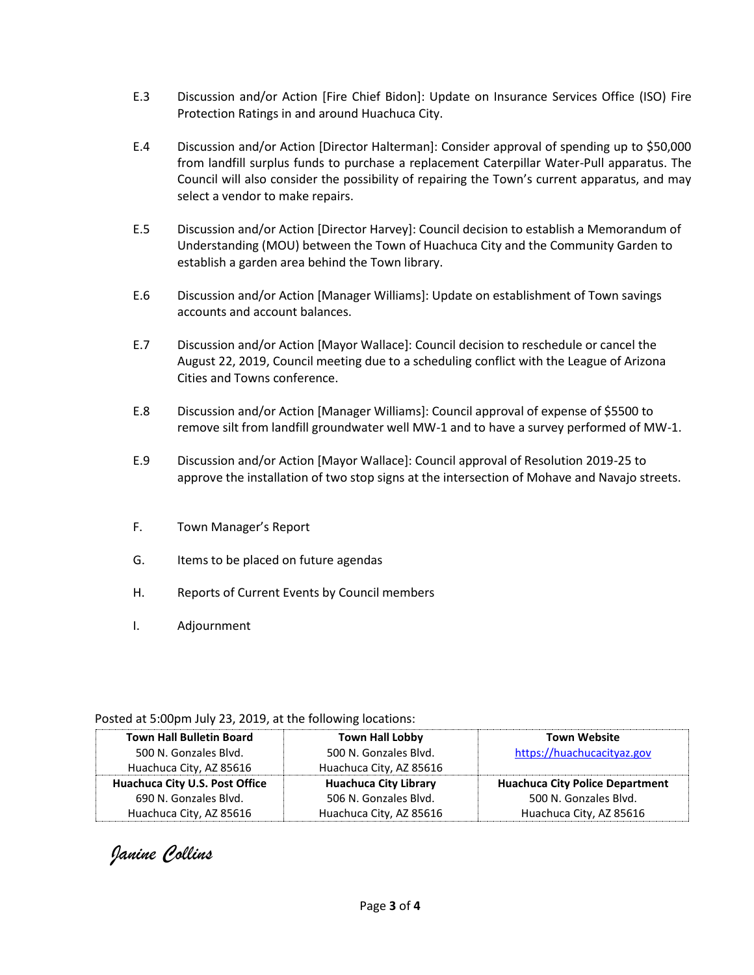- E.3 Discussion and/or Action [Fire Chief Bidon]: Update on Insurance Services Office (ISO) Fire Protection Ratings in and around Huachuca City.
- E.4 Discussion and/or Action [Director Halterman]: Consider approval of spending up to \$50,000 from landfill surplus funds to purchase a replacement Caterpillar Water-Pull apparatus. The Council will also consider the possibility of repairing the Town's current apparatus, and may select a vendor to make repairs.
- E.5 Discussion and/or Action [Director Harvey]: Council decision to establish a Memorandum of Understanding (MOU) between the Town of Huachuca City and the Community Garden to establish a garden area behind the Town library.
- E.6 Discussion and/or Action [Manager Williams]: Update on establishment of Town savings accounts and account balances.
- E.7 Discussion and/or Action [Mayor Wallace]: Council decision to reschedule or cancel the August 22, 2019, Council meeting due to a scheduling conflict with the League of Arizona Cities and Towns conference.
- E.8 Discussion and/or Action [Manager Williams]: Council approval of expense of \$5500 to remove silt from landfill groundwater well MW-1 and to have a survey performed of MW-1.
- E.9 Discussion and/or Action [Mayor Wallace]: Council approval of Resolution 2019-25 to approve the installation of two stop signs at the intersection of Mohave and Navajo streets.
- F. Town Manager's Report
- G. Items to be placed on future agendas
- H. Reports of Current Events by Council members
- I. Adjournment

| $\sim$ 00 to 0.00 pm sq. $\sim$ 0.00 $\sim$ 0.00 $\sim$ 0.00 $\sim$ 0.00 to 0.00 $\sim$ 0.00 to 0.00 $\sim$ |                              |                                        |
|-------------------------------------------------------------------------------------------------------------|------------------------------|----------------------------------------|
| <b>Town Hall Bulletin Board</b>                                                                             | <b>Town Hall Lobby</b>       | <b>Town Website</b>                    |
| 500 N. Gonzales Blvd.                                                                                       | 500 N. Gonzales Blvd.        | https://huachucacityaz.gov             |
| Huachuca City, AZ 85616                                                                                     | Huachuca City, AZ 85616      |                                        |
| Huachuca City U.S. Post Office                                                                              | <b>Huachuca City Library</b> | <b>Huachuca City Police Department</b> |
| 690 N. Gonzales Blvd.                                                                                       | 506 N. Gonzales Blvd.        | 500 N. Gonzales Blvd.                  |
| Huachuca City, AZ 85616                                                                                     | Huachuca City, AZ 85616      | Huachuca City, AZ 85616                |

Posted at 5:00pm July 23, 2019, at the following locations:

*Janine Collins*